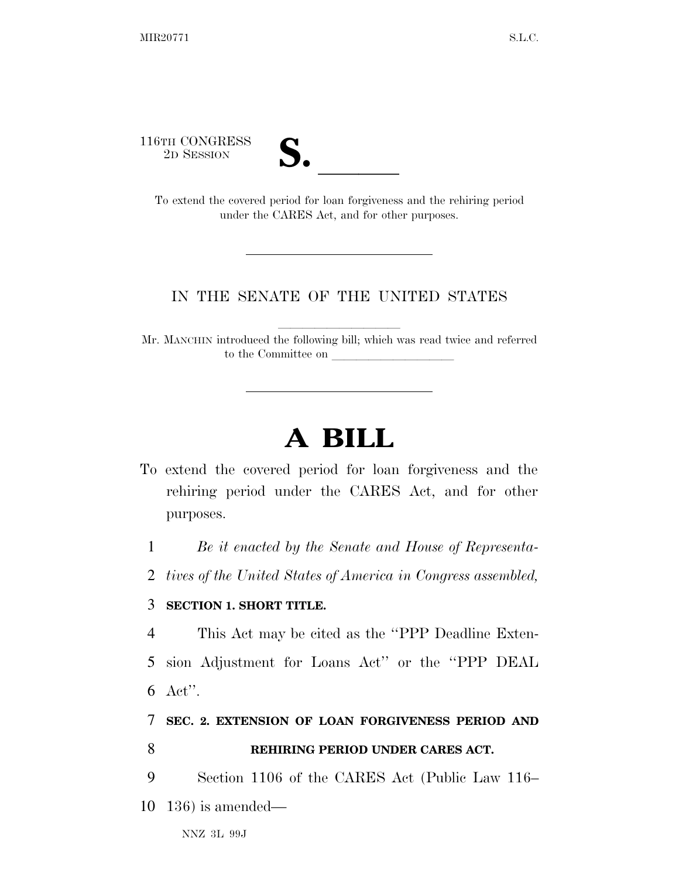116TH CONGRESS



The CONGRESS<br>
2D SESSION<br>
To extend the covered period for loan forgiveness and the rehiring period under the CARES Act, and for other purposes.

## IN THE SENATE OF THE UNITED STATES

Mr. MANCHIN introduced the following bill; which was read twice and referred to the Committee on

## **A BILL**

To extend the covered period for loan forgiveness and the rehiring period under the CARES Act, and for other purposes.

1 *Be it enacted by the Senate and House of Representa-*

2 *tives of the United States of America in Congress assembled,* 

## 3 **SECTION 1. SHORT TITLE.**

4 This Act may be cited as the ''PPP Deadline Exten-5 sion Adjustment for Loans Act'' or the ''PPP DEAL 6 Act''.

7 **SEC. 2. EXTENSION OF LOAN FORGIVENESS PERIOD AND** 

8 **REHIRING PERIOD UNDER CARES ACT.** 

9 Section 1106 of the CARES Act (Public Law 116– 10 136) is amended